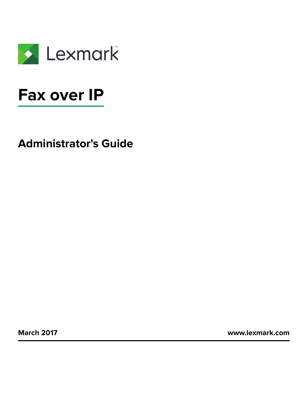

# **Fax over IP**

**Administrator's Guide**

**March 2017 [www.lexmark.com](http://www.lexmark.com)**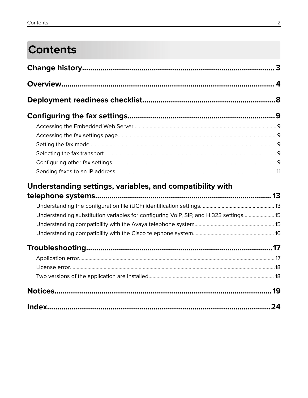# **Contents**

| Understanding settings, variables, and compatibility with                             |  |
|---------------------------------------------------------------------------------------|--|
|                                                                                       |  |
|                                                                                       |  |
| Understanding substitution variables for configuring VoIP, SIP, and H.323 settings 15 |  |
|                                                                                       |  |
|                                                                                       |  |
|                                                                                       |  |
|                                                                                       |  |
|                                                                                       |  |
|                                                                                       |  |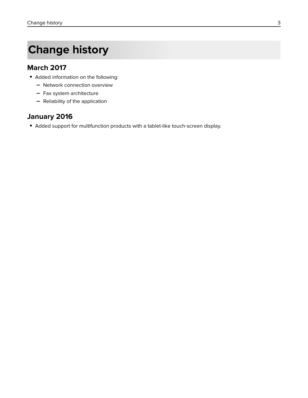# <span id="page-2-0"></span>**Change history**

### **March 2017**

- **•** Added information on the following:
	- **–** Network connection overview
	- **–** Fax system architecture
	- **–** Reliability of the application

### **January 2016**

**•** Added support for multifunction products with a tablet-like touch‑screen display.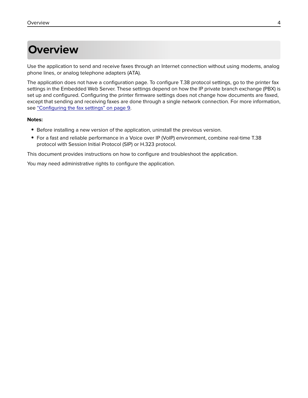# <span id="page-3-0"></span>**Overview**

Use the application to send and receive faxes through an Internet connection without using modems, analog phone lines, or analog telephone adapters (ATA).

The application does not have a configuration page. To configure T.38 protocol settings, go to the printer fax settings in the Embedded Web Server. These settings depend on how the IP private branch exchange (PBX) is set up and configured. Configuring the printer firmware settings does not change how documents are faxed, except that sending and receiving faxes are done through a single network connection. For more information, see ["Configuring the fax settings" on page 9](#page-8-0).

#### **Notes:**

- **•** Before installing a new version of the application, uninstall the previous version.
- For a fast and reliable performance in a Voice over IP (VoIP) environment, combine real-time T.38 protocol with Session Initial Protocol (SIP) or H.323 protocol.

This document provides instructions on how to configure and troubleshoot the application.

You may need administrative rights to configure the application.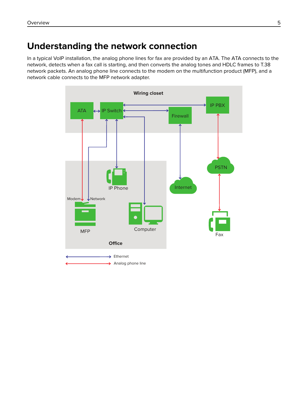## <span id="page-4-0"></span>**Understanding the network connection**

In a typical VoIP installation, the analog phone lines for fax are provided by an ATA. The ATA connects to the network, detects when a fax call is starting, and then converts the analog tones and HDLC frames to T.38 network packets. An analog phone line connects to the modem on the multifunction product (MFP), and a network cable connects to the MFP network adapter.

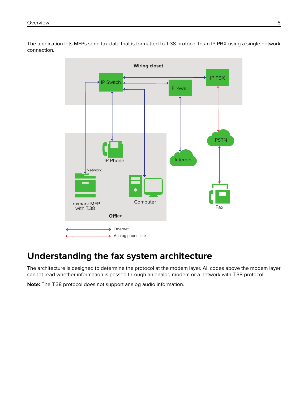<span id="page-5-0"></span>The application lets MFPs send fax data that is formatted to T.38 protocol to an IP PBX using a single network connection.



## **Understanding the fax system architecture**

The architecture is designed to determine the protocol at the modem layer. All codes above the modem layer cannot read whether information is passed through an analog modem or a network with T.38 protocol.

**Note:** The T.38 protocol does not support analog audio information.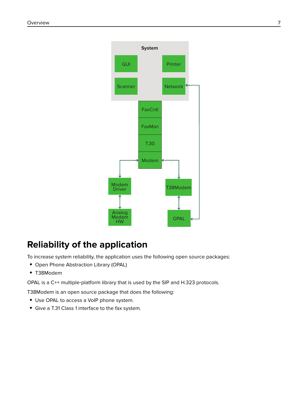<span id="page-6-0"></span>

## **Reliability of the application**

To increase system reliability, the application uses the following open source packages:

- **•** Open Phone Abstraction Library (OPAL)
- **•** T38Modem

OPAL is a C++ multiple-platform library that is used by the SIP and H.323 protocols.

T38Modem is an open source package that does the following:

- **•** Use OPAL to access a VoIP phone system.
- **•** Give a T.31 Class 1 interface to the fax system.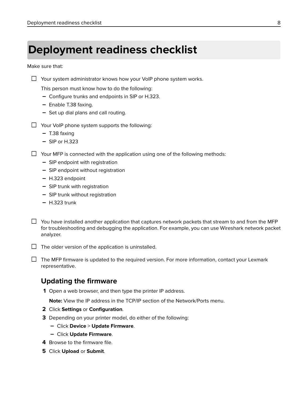## <span id="page-7-0"></span>**Deployment readiness checklist**

Make sure that:

|  |  | $\Box$ Your system administrator knows how your VoIP phone system works |  |  |  |  |  |  |
|--|--|-------------------------------------------------------------------------|--|--|--|--|--|--|
|--|--|-------------------------------------------------------------------------|--|--|--|--|--|--|

This person must know how to do the following:

- **–** Configure trunks and endpoints in SIP or H.323.
- **–** Enable T.38 faxing.
- **–** Set up dial plans and call routing.
- $\Box$  Your VoIP phone system supports the following:
	- **–** T.38 faxing
	- **–** SIP or H.323

 $\Box$  Your MFP is connected with the application using one of the following methods:

- **–** SIP endpoint with registration
- **–** SIP endpoint without registration
- **–** H.323 endpoint
- **–** SIP trunk with registration
- **–** SIP trunk without registration
- **–** H.323 trunk
- $\Box$  You have installed another application that captures network packets that stream to and from the MFP for troubleshooting and debugging the application. For example, you can use Wireshark network packet analyzer.

 $\Box$  The older version of the application is uninstalled.

 $\Box$  The MFP firmware is updated to the required version. For more information, contact your Lexmark representative.

### **Updating the firmware**

**1** Open a web browser, and then type the printer IP address.

**Note:** View the IP address in the TCP/IP section of the Network/Ports menu.

- **2** Click **Settings** or **Configuration**.
- **3** Depending on your printer model, do either of the following:
	- **–** Click **Device** > **Update Firmware**.
	- **–** Click **Update Firmware**.
- **4** Browse to the firmware file.
- **5** Click **Upload** or **Submit**.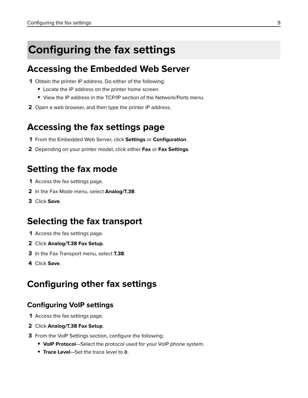# <span id="page-8-0"></span>**Configuring the fax settings**

## **Accessing the Embedded Web Server**

- **1** Obtain the printer IP address. Do either of the following:
	- **•** Locate the IP address on the printer home screen.
	- **•** View the IP address in the TCP/IP section of the Network/Ports menu.
- **2** Open a web browser, and then type the printer IP address.

## **Accessing the fax settings page**

- **1** From the Embedded Web Server, click **Settings** or **Configuration**.
- **2** Depending on your printer model, click either **Fax** or **Fax Settings**.

## **Setting the fax mode**

- **1** Access the fax settings page.
- **2** In the Fax Mode menu, select **Analog/T.38**.
- **3** Click **Save**.

## **Selecting the fax transport**

- **1** Access the fax settings page.
- **2** Click **Analog/T.38 Fax Setup**.
- **3** In the Fax Transport menu, select **T.38**.
- **4** Click **Save**.

## **Configuring other fax settings**

### **Configuring VoIP settings**

- **1** Access the fax settings page.
- **2** Click **Analog/T.38 Fax Setup**.
- **3** From the VoIP Settings section, configure the following:
	- **• VoIP Protocol**—Select the protocol used for your VoIP phone system.
	- **• Trace Level**—Set the trace level to **0**.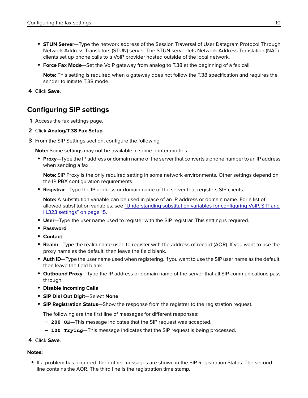- <span id="page-9-0"></span>**• STUN Server**—Type the network address of the Session Traversal of User Datagram Protocol Through Network Address Translators (STUN) server. The STUN server lets Network Address Translation (NAT) clients set up phone calls to a VoIP provider hosted outside of the local network.
- **• Force Fax Mode**—Set the VoIP gateway from analog to T.38 at the beginning of a fax call.

**Note:** This setting is required when a gateway does not follow the T.38 specification and requires the sender to initiate T.38 mode.

**4** Click **Save**.

## **Configuring SIP settings**

- **1** Access the fax settings page.
- **2** Click **Analog/T.38 Fax Setup**.
- **3** From the SIP Settings section, configure the following:

**Note:** Some settings may not be available in some printer models.

**• Proxy**—Type the IP address or domain name of the server that converts a phone number to an IP address when sending a fax.

**Note:** SIP Proxy is the only required setting in some network environments. Other settings depend on the IP PBX configuration requirements.

**• Registrar**—Type the IP address or domain name of the server that registers SIP clients.

**Note:** A substitution variable can be used in place of an IP address or domain name. For a list of allowed substitution variables, see ["Understanding substitution variables for configuring VoIP, SIP, and](#page-14-0) [H.323 settings" on page 15](#page-14-0).

- **• User**—Type the user name used to register with the SIP registrar. This setting is required.
- **• Password**
- **• Contact**
- **• Realm**—Type the realm name used to register with the address of record (AOR). If you want to use the proxy name as the default, then leave the field blank.
- **• Auth ID**—Type the user name used when registering. If you want to use the SIP user name as the default, then leave the field blank.
- **• Outbound Proxy**—Type the IP address or domain name of the server that all SIP communications pass through.
- **• Disable Incoming Calls**
- **• SIP Dial Out Digit**—Select **None**.
- **• SIP Registration Status**—Show the response from the registrar to the registration request.

The following are the first line of messages for different responses:

- **– 200 OK**—This message indicates that the SIP request was accepted.
- **– 100 Trying**—This message indicates that the SIP request is being processed.
- **4** Click **Save**.

#### **Notes:**

**•** If a problem has occurred, then other messages are shown in the SIP Registration Status. The second line contains the AOR. The third line is the registration time stamp.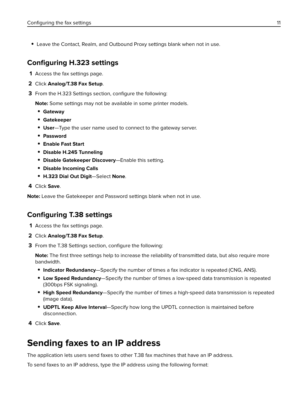<span id="page-10-0"></span>**•** Leave the Contact, Realm, and Outbound Proxy settings blank when not in use.

### **Configuring H.323 settings**

- **1** Access the fax settings page.
- **2** Click **Analog/T.38 Fax Setup**.
- **3** From the H.323 Settings section, configure the following:

**Note:** Some settings may not be available in some printer models.

- **• Gateway**
- **• Gatekeeper**
- **• User**—Type the user name used to connect to the gateway server.
- **• Password**
- **• Enable Fast Start**
- **• Disable H.245 Tunneling**
- **• Disable Gatekeeper Discovery**—Enable this setting.
- **• Disable Incoming Calls**
- **• H.323 Dial Out Digit**—Select **None**.
- **4** Click **Save**.

**Note:** Leave the Gatekeeper and Password settings blank when not in use.

#### **Configuring T.38 settings**

- **1** Access the fax settings page.
- **2** Click **Analog/T.38 Fax Setup**.
- **3** From the T.38 Settings section, configure the following:

**Note:** The first three settings help to increase the reliability of transmitted data, but also require more bandwidth.

- **• Indicator Redundancy**—Specify the number of times a fax indicator is repeated (CNG, ANS).
- **• Low Speed Redundancy**—Specify the number of times a low‑speed data transmission is repeated (300bps FSK signaling).
- **• High Speed Redundancy**—Specify the number of times a high‑speed data transmission is repeated (image data).
- **• UDPTL Keep Alive Interval**—Specify how long the UPDTL connection is maintained before disconnection.
- **4** Click **Save**.

## **Sending faxes to an IP address**

The application lets users send faxes to other T.38 fax machines that have an IP address.

To send faxes to an IP address, type the IP address using the following format: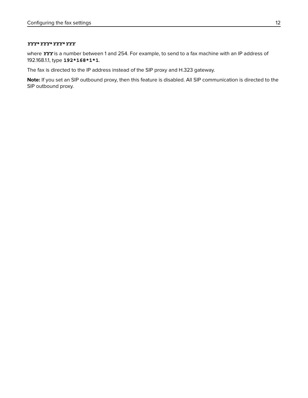#### *YYY***\****YYY***\****YYY***\****YYY*

where *YYY* is a number between 1 and 254. For example, to send to a fax machine with an IP address of 192.168.1.1, type **192\*168\*1\*1**.

The fax is directed to the IP address instead of the SIP proxy and H.323 gateway.

**Note:** If you set an SIP outbound proxy, then this feature is disabled. All SIP communication is directed to the SIP outbound proxy.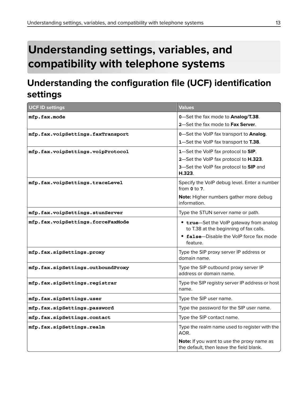# <span id="page-12-0"></span>**Understanding settings, variables, and compatibility with telephone systems**

## **Understanding the configuration file (UCF) identification settings**

| <b>UCF ID settings</b>            | <b>Values</b>                                                                          |
|-----------------------------------|----------------------------------------------------------------------------------------|
| mfp.fax.mode                      | 0-Set the fax mode to Analog/T.38.                                                     |
|                                   | 2-Set the fax mode to Fax Server.                                                      |
| mfp.fax.voipSettings.faxTransport | 0-Set the VoIP fax transport to Analog.                                                |
|                                   | 1-Set the VoIP fax transport to T.38.                                                  |
| mfp.fax.voipSettings.voipProtocol | 1-Set the VoIP fax protocol to SIP.                                                    |
|                                   | 2-Set the VoIP fax protocol to H.323.                                                  |
|                                   | 3-Set the VoIP fax protocol to SIP and<br>H.323.                                       |
| mfp.fax.voipSettings.traceLevel   | Specify the VoIP debug level. Enter a number<br>from $0$ to $7$ .                      |
|                                   | Note: Higher numbers gather more debug<br>information.                                 |
| mfp.fax.voipSettings.stunServer   | Type the STUN server name or path.                                                     |
| mfp.fax.voipSettings.forceFaxMode | • true-Set the VoIP gateway from analog<br>to T.38 at the beginning of fax calls.      |
|                                   | • false-Disable the VoIP force fax mode<br>feature.                                    |
| mfp.fax.sipSettings.proxy         | Type the SIP proxy server IP address or<br>domain name.                                |
| mfp.fax.sipSettings.outboundProxy | Type the SIP outbound proxy server IP<br>address or domain name.                       |
| mfp.fax.sipSettings.registrar     | Type the SIP registry server IP address or host<br>name.                               |
| mfp.fax.sipSettings.user          | Type the SIP user name.                                                                |
| mfp.fax.sipSettings.password      | Type the password for the SIP user name.                                               |
| mfp.fax.sipSettings.contact       | Type the SIP contact name.                                                             |
| mfp.fax.sipSettings.realm         | Type the realm name used to register with the<br>AOR.                                  |
|                                   | Note: If you want to use the proxy name as<br>the default, then leave the field blank. |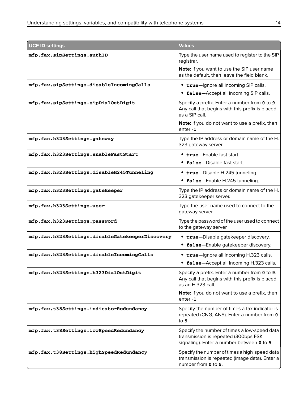| <b>UCF ID settings</b>                          | <b>Values</b>                                                                                                                      |
|-------------------------------------------------|------------------------------------------------------------------------------------------------------------------------------------|
| mfp.fax.sipSettings.authID                      | Type the user name used to register to the SIP<br>registrar.                                                                       |
|                                                 | Note: If you want to use the SIP user name<br>as the default, then leave the field blank.                                          |
| mfp.fax.sipSettings.disableIncomingCalls        | • true-Ignore all incoming SIP calls.                                                                                              |
|                                                 | false-Accept all incoming SIP calls.                                                                                               |
| mfp.fax.sipSettings.sipDialOutDigit             | Specify a prefix. Enter a number from 0 to 9.<br>Any call that begins with this prefix is placed<br>as a SIP call.                 |
|                                                 | Note: If you do not want to use a prefix, then<br>$enter - 1$ .                                                                    |
| mfp.fax.h323Settings.gateway                    | Type the IP address or domain name of the H.<br>323 gateway server.                                                                |
| mfp.fax.h323Settings.enableFastStart            | • true-Enable fast start.                                                                                                          |
|                                                 | false-Disable fast start.                                                                                                          |
| mfp.fax.h323Settings.disableH245Tunneling       | • true-Disable H.245 tunneling.                                                                                                    |
|                                                 | false-Enable H.245 tunneling.<br>$\bullet$                                                                                         |
| mfp.fax.h323Settings.gatekeeper                 | Type the IP address or domain name of the H.<br>323 gatekeeper server.                                                             |
| mfp.fax.h323Settings.user                       | Type the user name used to connect to the<br>gateway server.                                                                       |
| mfp.fax.h323Settings.password                   | Type the password of the user used to connect<br>to the gateway server.                                                            |
| mfp.fax.h323Settings.disableGatekeeperDiscovery | • true-Disable gatekeeper discovery.                                                                                               |
|                                                 | • false-Enable gatekeeper discovery.                                                                                               |
| mfp.fax.h323Settings.disableIncomingCalls       | • true-Ignore all incoming H.323 calls.                                                                                            |
|                                                 | false-Accept all incoming H.323 calls.                                                                                             |
| mfp.fax.h323Settings.h323DialOutDigit           | Specify a prefix. Enter a number from 0 to 9.<br>Any call that begins with this prefix is placed<br>as an H.323 call.              |
|                                                 | <b>Note:</b> If you do not want to use a prefix, then<br>enter -1.                                                                 |
| mfp.fax.t38Settings.indicatorRedundancy         | Specify the number of times a fax indicator is<br>repeated (CNG, ANS). Enter a number from 0<br>to 5.                              |
| mfp.fax.t38Settings.lowSpeedRedundancy          | Specify the number of times a low-speed data<br>transmission is repeated (300bps FSK<br>signaling). Enter a number between 0 to 5. |
| mfp.fax.t38Settings.highSpeedRedundancy         | Specify the number of times a high-speed data<br>transmission is repeated (image data). Enter a<br>number from 0 to 5.             |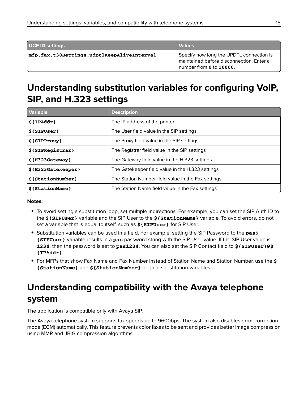<span id="page-14-0"></span>

| UCF ID settings                            | <b>Values</b>                                                                                                   |
|--------------------------------------------|-----------------------------------------------------------------------------------------------------------------|
| mfp.fax.t38Settings.udptlKeepAliveInterval | Specify how long the UPDTL connection is<br>maintained before disconnection. Enter a<br>number from 0 to 10000. |

## **Understanding substitution variables for configuring VoIP, SIP, and H.323 settings**

| <b>Variable</b>     | <b>Description</b>                                 |
|---------------------|----------------------------------------------------|
| $${IPAddr}$         | The IP address of the printer                      |
| $$$ {SIPUser}       | The User field value in the SIP settings           |
| $$$ {SIPProxy}      | The Proxy field value in the SIP settings          |
| $$$ {SIPRegistrar}  | The Registrar field value in the SIP settings      |
| $$$ {H323Gateway}   | The Gateway field value in the H.323 settings      |
| \${H323Gatekeeper}  | The Gatekeeper field value in the H.323 settings   |
| $$$ {StationNumber} | The Station Number field value in the Fax settings |
| $$$ {StationName}   | The Station Name field value in the Fax settings   |

#### **Notes:**

- **•** To avoid setting a substitution loop, set multiple indirections. For example, you can set the SIP Auth ID to the **\${SIPUser}** variable and the SIP User to the **\${StationName}** variable. To avoid errors, do not set a variable that is equal to itself, such as **\${SIPUser}** for SIP User.
- **•** Substitution variables can be used in a field. For example, setting the SIP Password to the **pas\$ {SIPUser}** variable results in a **pas** password string with the SIP User value. If the SIP User value is **1234**, then the password is set to **pas1234**. You can also set the SIP Contact field to **\${SIPUser}@\$ {IPAddr}**.
- **•** For MFPs that show Fax Name and Fax Number instead of Station Name and Station Number, use the **\$ {StationName}** and **\${StationNumber}** original substitution variables.

## **Understanding compatibility with the Avaya telephone system**

The application is compatible only with Avaya SIP.

The Avaya telephone system supports fax speeds up to 9600bps. The system also disables error correction mode (ECM) automatically. This feature prevents color faxes to be sent and provides better image compression using MMR and JBIG compression algorithms.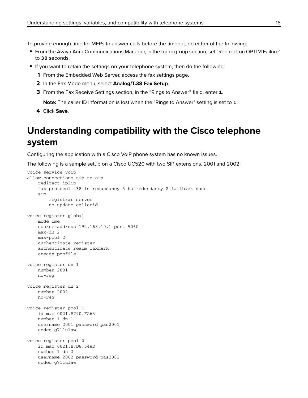<span id="page-15-0"></span>To provide enough time for MFPs to answer calls before the timeout, do either of the following:

- **•** From the Avaya Aura Communications Manager, in the trunk group section, set "Redirect on OPTIM Failure" to **30** seconds.
- **•** If you want to retain the settings on your telephone system, then do the following:
	- **1** From the Embedded Web Server, access the fax settings page.
	- **2** In the Fax Mode menu, select **Analog/T.38 Fax Setup**.
	- **3** From the Fax Receive Settings section, in the "Rings to Answer" field, enter **1**.

**Note:** The caller ID information is lost when the "Rings to Answer" setting is set to **1**.

**4** Click **Save**.

## **Understanding compatibility with the Cisco telephone system**

Configuring the application with a Cisco VoIP phone system has no known issues.

The following is a sample setup on a Cisco UC520 with two SIP extensions, 2001 and 2002:

```
voice service voip
allow-connections sip to sip
     redirect ip2ip
     fax protocol t38 ls-redundancy 5 hs-redundancy 2 fallback none
     sip
         registrar server
         no update-callerid
voice register global
    mode cme
    source-address 192.168.10.1 port 5060
    max-dn 2
    max-pool 2
    authenticate register
    authenticate realm lexmark
    create profile
voice register dn 1
    number 2001
    no-reg
voice register dn 2
    number 2002
    no-reg
voice register pool 1
    id mac 0021.B790.FA63
    number 1 dn 1
    username 2001 password pas2001
    codec g711ulaw
voice register pool 2
    id mac 0021.B7D8.64AD
    number 1 dn 2
    username 2002 password pas2002
    codec g711ulaw
```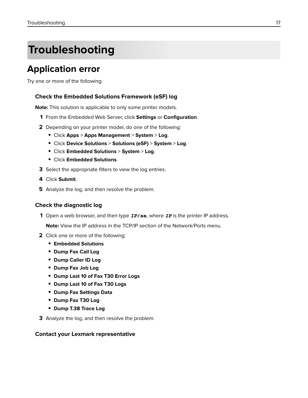# <span id="page-16-0"></span>**Troubleshooting**

## **Application error**

Try one or more of the following:

#### **Check the Embedded Solutions Framework (eSF) log**

**Note:** This solution is applicable to only some printer models.

- **1** From the Embedded Web Server, click **Settings** or **Configuration**.
- **2** Depending on your printer model, do one of the following:
	- **•** Click **Apps** > **Apps Management** > **System** > **Log**.
	- **•** Click **Device Solutions** > **Solutions (eSF)** > **System** > **Log**.
	- **•** Click **Embedded Solutions** > **System** > **Log**.
	- **•** Click **Embedded Solutions**.
- **3** Select the appropriate filters to view the log entries.
- **4** Click **Submit**.
- **5** Analyze the log, and then resolve the problem.

#### **Check the diagnostic log**

**1** Open a web browser, and then type *IP***/se**, where *IP* is the printer IP address.

**Note:** View the IP address in the TCP/IP section of the Network/Ports menu.

- **2** Click one or more of the following:
	- **• Embedded Solutions**
	- **• Dump Fax Call Log**
	- **• Dump Caller ID Log**
	- **• Dump Fax Job Log**
	- **• Dump Last 10 of Fax T30 Error Logs**
	- **• Dump Last 10 of Fax T30 Logs**
	- **• Dump Fax Settings Data**
	- **• Dump Fax T30 Log**
	- **• Dump T.38 Trace Log**
- **3** Analyze the log, and then resolve the problem.

#### **Contact your Lexmark representative**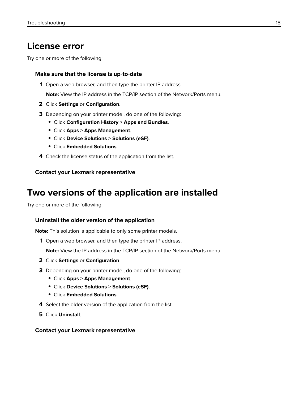## <span id="page-17-0"></span>**License error**

Try one or more of the following:

#### **Make sure that the license is up**‑**to**‑**date**

**1** Open a web browser, and then type the printer IP address.

**Note:** View the IP address in the TCP/IP section of the Network/Ports menu.

- **2** Click **Settings** or **Configuration**.
- **3** Depending on your printer model, do one of the following:
	- **•** Click **Configuration History** > **Apps and Bundles**.
	- **•** Click **Apps** > **Apps Management**.
	- **•** Click **Device Solutions** > **Solutions (eSF)**.
	- **•** Click **Embedded Solutions**.
- **4** Check the license status of the application from the list.

#### **Contact your Lexmark representative**

## **Two versions of the application are installed**

Try one or more of the following:

#### **Uninstall the older version of the application**

**Note:** This solution is applicable to only some printer models.

**1** Open a web browser, and then type the printer IP address.

**Note:** View the IP address in the TCP/IP section of the Network/Ports menu.

- **2** Click **Settings** or **Configuration**.
- **3** Depending on your printer model, do one of the following:
	- **•** Click **Apps** > **Apps Management**.
	- **•** Click **Device Solutions** > **Solutions (eSF)**.
	- **•** Click **Embedded Solutions**.
- **4** Select the older version of the application from the list.
- **5** Click **Uninstall**.

#### **Contact your Lexmark representative**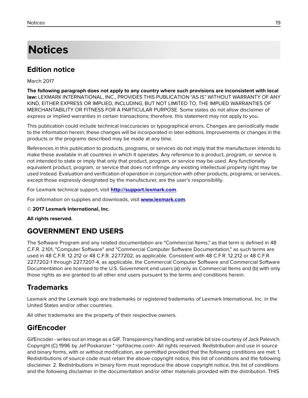# <span id="page-18-0"></span>**Notices**

## **Edition notice**

March 2017

**The following paragraph does not apply to any country where such provisions are inconsistent with local law:** LEXMARK INTERNATIONAL, INC., PROVIDES THIS PUBLICATION "AS IS" WITHOUT WARRANTY OF ANY KIND, EITHER EXPRESS OR IMPLIED, INCLUDING, BUT NOT LIMITED TO, THE IMPLIED WARRANTIES OF MERCHANTABILITY OR FITNESS FOR A PARTICULAR PURPOSE. Some states do not allow disclaimer of express or implied warranties in certain transactions; therefore, this statement may not apply to you.

This publication could include technical inaccuracies or typographical errors. Changes are periodically made to the information herein; these changes will be incorporated in later editions. Improvements or changes in the products or the programs described may be made at any time.

References in this publication to products, programs, or services do not imply that the manufacturer intends to make these available in all countries in which it operates. Any reference to a product, program, or service is not intended to state or imply that only that product, program, or service may be used. Any functionally equivalent product, program, or service that does not infringe any existing intellectual property right may be used instead. Evaluation and verification of operation in conjunction with other products, programs, or services, except those expressly designated by the manufacturer, are the user's responsibility.

For Lexmark technical support, visit **<http://support.lexmark.com>**.

For information on supplies and downloads, visit **[www.lexmark.com](http://www.lexmark.com)**.

**© 2017 Lexmark International, Inc.**

**All rights reserved.**

## **GOVERNMENT END USERS**

The Software Program and any related documentation are "Commercial Items," as that term is defined in 48 C.F.R. 2.101, "Computer Software" and "Commercial Computer Software Documentation," as such terms are used in 48 C.F.R. 12.212 or 48 C.F.R. 227.7202, as applicable. Consistent with 48 C.F.R. 12.212 or 48 C.F.R. 227.7202-1 through 227.7207-4, as applicable, the Commercial Computer Software and Commercial Software Documentation are licensed to the U.S. Government end users (a) only as Commercial Items and (b) with only those rights as are granted to all other end users pursuant to the terms and conditions herein.

### **Trademarks**

Lexmark and the Lexmark logo are trademarks or registered trademarks of Lexmark International, Inc. in the United States and/or other countries.

All other trademarks are the property of their respective owners.

### **GifEncoder**

GifEncoder - writes out an image as a GIF. Transparency handling and variable bit size courtesy of Jack Palevich. Copyright (C) 1996 by Jef Poskanzer \* <jef@acme.com>. All rights reserved. Redistribution and use in source and binary forms, with or without modification, are permitted provided that the following conditions are met: 1. Redistributions of source code must retain the above copyright notice, this list of conditions and the following disclaimer. 2. Redistributions in binary form must reproduce the above copyright notice, this list of conditions and the following disclaimer in the documentation and/or other materials provided with the distribution. THIS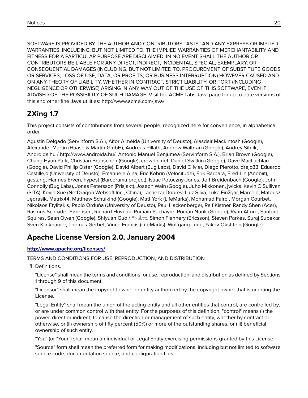SOFTWARE IS PROVIDED BY THE AUTHOR AND CONTRIBUTORS ``AS IS'' AND ANY EXPRESS OR IMPLIED WARRANTIES, INCLUDING, BUT NOT LIMITED TO, THE IMPLIED WARRANTIES OF MERCHANTABILITY AND FITNESS FOR A PARTICULAR PURPOSE ARE DISCLAIMED. IN NO EVENT SHALL THE AUTHOR OR CONTRIBUTORS BE LIABLE FOR ANY DIRECT, INDIRECT, INCIDENTAL, SPECIAL, EXEMPLARY, OR CONSEQUENTIAL DAMAGES (INCLUDING, BUT NOT LIMITED TO, PROCUREMENT OF SUBSTITUTE GOODS OR SERVICES; LOSS OF USE, DATA, OR PROFITS; OR BUSINESS INTERRUPTION) HOWEVER CAUSED AND ON ANY THEORY OF LIABILITY, WHETHER IN CONTRACT, STRICT LIABILITY, OR TORT (INCLUDING NEGLIGENCE OR OTHERWISE) ARISING IN ANY WAY OUT OF THE USE OF THIS SOFTWARE, EVEN IF ADVISED OF THE POSSIBILITY OF SUCH DAMAGE. Visit the ACME Labs Java page for up-to-date versions of this and other fine Java utilities: http://www.acme.com/java/

## **ZXing 1.7**

This project consists of contributions from several people, recognized here for convenience, in alphabetical order.

Agustín Delgado (Servinform S.A.), Aitor Almeida (University of Deusto), Alasdair Mackintosh (Google), Alexander Martin (Haase & Martin GmbH), Andreas Pillath, Andrew Walbran (Google), Andrey Sitnik, Androida.hu / http://www.androida.hu/, Antonio Manuel Benjumea (Servinform S.A.), Brian Brown (Google), Chang Hyun Park, Christian Brunschen (Google), crowdin.net, Daniel Switkin (Google), Dave MacLachlan (Google), David Phillip Oster (Google), David Albert (Bug Labs), David Olivier, Diego Pierotto, drejc83, Eduardo Castillejo (University of Deusto), Emanuele Aina, Eric Kobrin (Velocitude), Erik Barbara, Fred Lin (Anobiit), gcstang, Hannes Erven, hypest (Barcorama project), Isaac Potoczny-Jones, Jeff Breidenbach (Google), John Connolly (Bug Labs), Jonas Petersson (Prisjakt), Joseph Wain (Google), Juho Mikkonen, jwicks, Kevin O'Sullivan (SITA), Kevin Xue (NetDragon Websoft Inc., China), Lachezar Dobrev, Luiz Silva, Luka Finžgar, Marcelo, Mateusz Jędrasik, Matrix44, Matthew Schulkind (Google), Matt York (LifeMarks), Mohamad Fairol, Morgan Courbet, Nikolaos Ftylitakis, Pablo Orduña (University of Deusto), Paul Hackenberger, Ralf Kistner, Randy Shen (Acer), Rasmus Schrøder Sørensen, Richard Hřivňák, Romain Pechayre, Roman Nurik (Google), Ryan Alford, Sanford Squires, Sean Owen (Google), Shiyuan Guo / 郭世元, Simon Flannery (Ericsson), Steven Parkes, Suraj Supekar, Sven Klinkhamer, Thomas Gerbet, Vince Francis (LifeMarks), Wolfgang Jung, Yakov Okshtein (Google)

## **Apache License Version 2.0, January 2004**

#### **<http://www.apache.org/licenses/>**

TERMS AND CONDITIONS FOR USE, REPRODUCTION, AND DISTRIBUTION

**1** Definitions.

"License" shall mean the terms and conditions for use, reproduction, and distribution as defined by Sections 1 through 9 of this document.

"Licensor" shall mean the copyright owner or entity authorized by the copyright owner that is granting the License.

"Legal Entity" shall mean the union of the acting entity and all other entities that control, are controlled by, or are under common control with that entity. For the purposes of this definition, "control" means (i) the power, direct or indirect, to cause the direction or management of such entity, whether by contract or otherwise, or (ii) ownership of fifty percent (50%) or more of the outstanding shares, or (iii) beneficial ownership of such entity.

"You" (or "Your") shall mean an individual or Legal Entity exercising permissions granted by this License.

"Source" form shall mean the preferred form for making modifications, including but not limited to software source code, documentation source, and configuration files.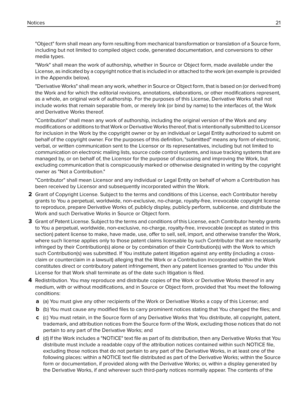"Object" form shall mean any form resulting from mechanical transformation or translation of a Source form, including but not limited to compiled object code, generated documentation, and conversions to other media types.

"Work" shall mean the work of authorship, whether in Source or Object form, made available under the License, as indicated by a copyright notice that is included in or attached to the work (an example is provided in the Appendix below).

"Derivative Works" shall mean any work, whether in Source or Object form, that is based on (or derived from) the Work and for which the editorial revisions, annotations, elaborations, or other modifications represent, as a whole, an original work of authorship. For the purposes of this License, Derivative Works shall not include works that remain separable from, or merely link (or bind by name) to the interfaces of, the Work and Derivative Works thereof.

"Contribution" shall mean any work of authorship, including the original version of the Work and any modifications or additions to that Work or Derivative Works thereof, that is intentionally submitted to Licensor for inclusion in the Work by the copyright owner or by an individual or Legal Entity authorized to submit on behalf of the copyright owner. For the purposes of this definition, "submitted" means any form of electronic, verbal, or written communication sent to the Licensor or its representatives, including but not limited to communication on electronic mailing lists, source code control systems, and issue tracking systems that are managed by, or on behalf of, the Licensor for the purpose of discussing and improving the Work, but excluding communication that is conspicuously marked or otherwise designated in writing by the copyright owner as "Not a Contribution."

"Contributor" shall mean Licensor and any individual or Legal Entity on behalf of whom a Contribution has been received by Licensor and subsequently incorporated within the Work.

- **2** Grant of Copyright License. Subject to the terms and conditions of this License, each Contributor hereby grants to You a perpetual, worldwide, non-exclusive, no-charge, royalty-free, irrevocable copyright license to reproduce, prepare Derivative Works of, publicly display, publicly perform, sublicense, and distribute the Work and such Derivative Works in Source or Object form.
- **3** Grant of Patent License. Subject to the terms and conditions of this License, each Contributor hereby grants to You a perpetual, worldwide, non-exclusive, no-charge, royalty-free, irrevocable (except as stated in this section) patent license to make, have made, use, offer to sell, sell, import, and otherwise transfer the Work, where such license applies only to those patent claims licensable by such Contributor that are necessarily infringed by their Contribution(s) alone or by combination of their Contribution(s) with the Work to which such Contribution(s) was submitted. If You institute patent litigation against any entity (including a crossclaim or counterclaim in a lawsuit) alleging that the Work or a Contribution incorporated within the Work constitutes direct or contributory patent infringement, then any patent licenses granted to You under this License for that Work shall terminate as of the date such litigation is filed.
- **4** Redistribution. You may reproduce and distribute copies of the Work or Derivative Works thereof in any medium, with or without modifications, and in Source or Object form, provided that You meet the following conditions:
	- **a** (a) You must give any other recipients of the Work or Derivative Works a copy of this License; and
	- **b** (b) You must cause any modified files to carry prominent notices stating that You changed the files; and
	- **c** (c) You must retain, in the Source form of any Derivative Works that You distribute, all copyright, patent, trademark, and attribution notices from the Source form of the Work, excluding those notices that do not pertain to any part of the Derivative Works; and
	- **d** (d) If the Work includes a "NOTICE" text file as part of its distribution, then any Derivative Works that You distribute must include a readable copy of the attribution notices contained within such NOTICE file, excluding those notices that do not pertain to any part of the Derivative Works, in at least one of the following places: within a NOTICE text file distributed as part of the Derivative Works; within the Source form or documentation, if provided along with the Derivative Works; or, within a display generated by the Derivative Works, if and wherever such third-party notices normally appear. The contents of the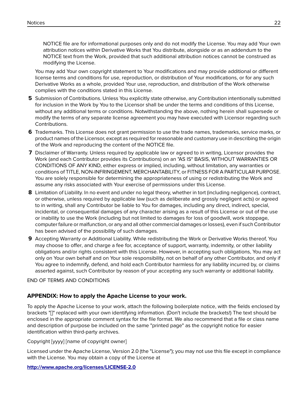NOTICE file are for informational purposes only and do not modify the License. You may add Your own attribution notices within Derivative Works that You distribute, alongside or as an addendum to the NOTICE text from the Work, provided that such additional attribution notices cannot be construed as modifying the License.

You may add Your own copyright statement to Your modifications and may provide additional or different license terms and conditions for use, reproduction, or distribution of Your modifications, or for any such Derivative Works as a whole, provided Your use, reproduction, and distribution of the Work otherwise complies with the conditions stated in this License.

- **5** Submission of Contributions. Unless You explicitly state otherwise, any Contribution intentionally submitted for inclusion in the Work by You to the Licensor shall be under the terms and conditions of this License, without any additional terms or conditions. Notwithstanding the above, nothing herein shall supersede or modify the terms of any separate license agreement you may have executed with Licensor regarding such Contributions.
- **6** Trademarks. This License does not grant permission to use the trade names, trademarks, service marks, or product names of the Licensor, except as required for reasonable and customary use in describing the origin of the Work and reproducing the content of the NOTICE file.
- **7** Disclaimer of Warranty. Unless required by applicable law or agreed to in writing, Licensor provides the Work (and each Contributor provides its Contributions) on an "AS IS" BASIS, WITHOUT WARRANTIES OR CONDITIONS OF ANY KIND, either express or implied, including, without limitation, any warranties or conditions of TITLE, NON-INFRINGEMENT, MERCHANTABILITY, or FITNESS FOR A PARTICULAR PURPOSE. You are solely responsible for determining the appropriateness of using or redistributing the Work and assume any risks associated with Your exercise of permissions under this License.
- **8** Limitation of Liability. In no event and under no legal theory, whether in tort (including negligence), contract, or otherwise, unless required by applicable law (such as deliberate and grossly negligent acts) or agreed to in writing, shall any Contributor be liable to You for damages, including any direct, indirect, special, incidental, or consequential damages of any character arising as a result of this License or out of the use or inability to use the Work (including but not limited to damages for loss of goodwill, work stoppage, computer failure or malfunction, or any and all other commercial damages or losses), even if such Contributor has been advised of the possibility of such damages.
- **9** Accepting Warranty or Additional Liability. While redistributing the Work or Derivative Works thereof, You may choose to offer, and charge a fee for, acceptance of support, warranty, indemnity, or other liability obligations and/or rights consistent with this License. However, in accepting such obligations, You may act only on Your own behalf and on Your sole responsibility, not on behalf of any other Contributor, and only if You agree to indemnify, defend, and hold each Contributor harmless for any liability incurred by, or claims asserted against, such Contributor by reason of your accepting any such warranty or additional liability.

#### END OF TERMS AND CONDITIONS

#### **APPENDIX: How to apply the Apache License to your work.**

To apply the Apache License to your work, attach the following boilerplate notice, with the fields enclosed by brackets "[]" replaced with your own identifying information. (Don't include the brackets!) The text should be enclosed in the appropriate comment syntax for the file format. We also recommend that a file or class name and description of purpose be included on the same "printed page" as the copyright notice for easier identification within third-party archives.

#### Copyright [yyyy] [name of copyright owner]

Licensed under the Apache License, Version 2.0 (the "License"); you may not use this file except in compliance with the License. You may obtain a copy of the License at

#### **<http://www.apache.org/licenses/LICENSE-2.0>**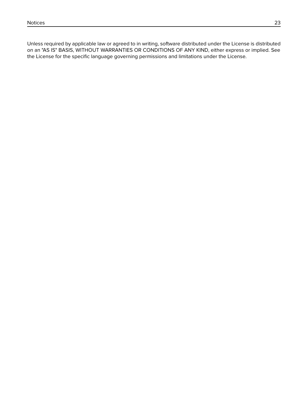Unless required by applicable law or agreed to in writing, software distributed under the License is distributed on an "AS IS" BASIS, WITHOUT WARRANTIES OR CONDITIONS OF ANY KIND, either express or implied. See the License for the specific language governing permissions and limitations under the License.